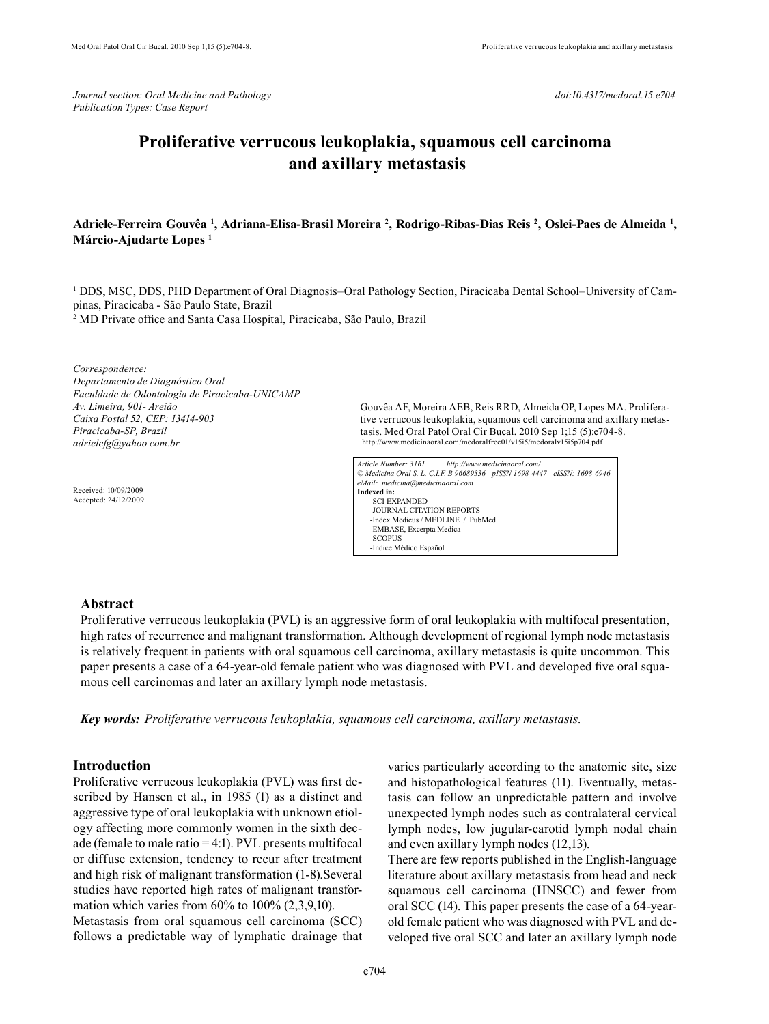*Journal section: Oral Medicine and Pathology doi:10.4317/medoral.15.e704 Publication Types: Case Report*

# **Proliferative verrucous leukoplakia, squamous cell carcinoma and axillary metastasis**

## Adriele-Ferreira Gouvêa <sup>1</sup>, Adriana-Elisa-Brasil Moreira <sup>2</sup>, Rodrigo-Ribas-Dias Reis <sup>2</sup>, Oslei-Paes de Almeida <sup>1</sup>, **Márcio-Ajudarte Lopes 1**

1 DDS, MSC, DDS, PHD Department of Oral Diagnosis–Oral Pathology Section, Piracicaba Dental School–University of Campinas, Piracicaba - São Paulo State, Brazil

2 MD Private office and Santa Casa Hospital, Piracicaba, São Paulo, Brazil

*Correspondence: Departamento de Diagnóstico Oral Faculdade de Odontologia de Piracicaba-UNICAMP Av. Limeira, 901- Areião Caixa Postal 52, CEP: 13414-903 Piracicaba-SP, Brazil adrielefg@yahoo.com.br*

Received: 10/09/2009 Accepted: 24/12/2009

Gouvêa AF, Moreira AEB, Reis RRD, Almeida OP, Lopes MA. Proliferative verrucous leukoplakia, squamous cell carcinoma and axillary metastasis. Med Oral Patol Oral Cir Bucal. 2010 Sep 1;15 (5):e704-8. http://www.medicinaoral.com/medoralfree01/v15i5/medoralv15i5p704.pdf

*Article Number: 3161 http://www.medicinaoral.com/ © Medicina Oral S. L. C.I.F. B 96689336 - pISSN 1698-4447 - eISSN: 1698-6946 eMail: medicina@medicinaoral.com*  **Indexed in:**  -SCI EXPANDED -JOURNAL CITATION REPORTS -Index Medicus / MEDLINE / PubMed -EMBASE, Excerpta Medica -SCOPUS -Indice Médico Español

## **Abstract**

Proliferative verrucous leukoplakia (PVL) is an aggressive form of oral leukoplakia with multifocal presentation, high rates of recurrence and malignant transformation. Although development of regional lymph node metastasis is relatively frequent in patients with oral squamous cell carcinoma, axillary metastasis is quite uncommon. This paper presents a case of a 64-year-old female patient who was diagnosed with PVL and developed five oral squamous cell carcinomas and later an axillary lymph node metastasis.

*Key words: Proliferative verrucous leukoplakia, squamous cell carcinoma, axillary metastasis.*

# **Introduction**

Proliferative verrucous leukoplakia (PVL) was first described by Hansen et al., in 1985 (1) as a distinct and aggressive type of oral leukoplakia with unknown etiology affecting more commonly women in the sixth decade (female to male ratio = 4:1). PVL presents multifocal or diffuse extension, tendency to recur after treatment and high risk of malignant transformation (1-8).Several studies have reported high rates of malignant transformation which varies from  $60\%$  to  $100\%$   $(2,3,9,10)$ . Metastasis from oral squamous cell carcinoma (SCC)

follows a predictable way of lymphatic drainage that

varies particularly according to the anatomic site, size and histopathological features (11). Eventually, metastasis can follow an unpredictable pattern and involve unexpected lymph nodes such as contralateral cervical lymph nodes, low jugular-carotid lymph nodal chain and even axillary lymph nodes (12,13).

There are few reports published in the English-language literature about axillary metastasis from head and neck squamous cell carcinoma (HNSCC) and fewer from oral SCC (14). This paper presents the case of a 64-yearold female patient who was diagnosed with PVL and developed five oral SCC and later an axillary lymph node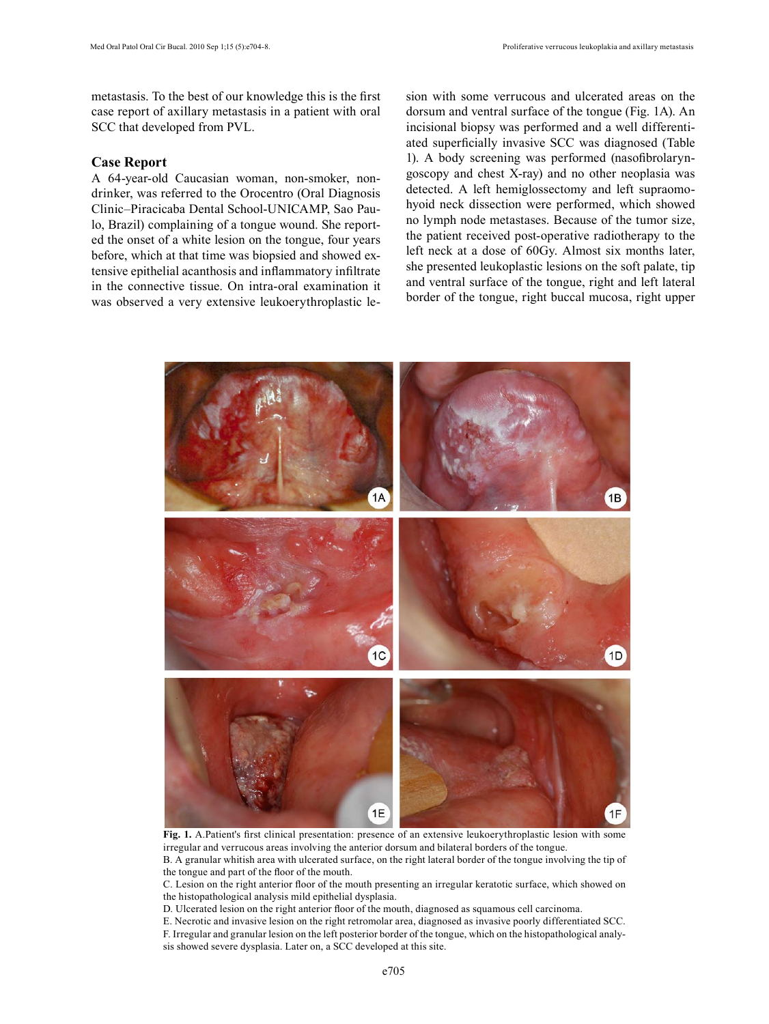metastasis. To the best of our knowledge this is the first case report of axillary metastasis in a patient with oral SCC that developed from PVL.

### **Case Report**

A 64-year-old Caucasian woman, non-smoker, nondrinker, was referred to the Orocentro (Oral Diagnosis Clinic–Piracicaba Dental School-UNICAMP, Sao Paulo, Brazil) complaining of a tongue wound. She reported the onset of a white lesion on the tongue, four years before, which at that time was biopsied and showed extensive epithelial acanthosis and inflammatory infiltrate in the connective tissue. On intra-oral examination it was observed a very extensive leukoerythroplastic lesion with some verrucous and ulcerated areas on the dorsum and ventral surface of the tongue (Fig. 1A). An incisional biopsy was performed and a well differentiated superficially invasive SCC was diagnosed (Table 1). A body screening was performed (nasofibrolaryngoscopy and chest X-ray) and no other neoplasia was detected. A left hemiglossectomy and left supraomohyoid neck dissection were performed, which showed no lymph node metastases. Because of the tumor size, the patient received post-operative radiotherapy to the left neck at a dose of 60Gy. Almost six months later, she presented leukoplastic lesions on the soft palate, tip and ventral surface of the tongue, right and left lateral border of the tongue, right buccal mucosa, right upper



**Fig. 1.** A.Patient's first clinical presentation: presence of an extensive leukoerythroplastic lesion with some irregular and verrucous areas involving the anterior dorsum and bilateral borders of the tongue.

B. A granular whitish area with ulcerated surface, on the right lateral border of the tongue involving the tip of the tongue and part of the floor of the mouth.

C. Lesion on the right anterior floor of the mouth presenting an irregular keratotic surface, which showed on the histopathological analysis mild epithelial dysplasia.

D. Ulcerated lesion on the right anterior floor of the mouth, diagnosed as squamous cell carcinoma.

E. Necrotic and invasive lesion on the right retromolar area, diagnosed as invasive poorly differentiated SCC.

F. Irregular and granular lesion on the left posterior border of the tongue, which on the histopathological analysis showed severe dysplasia. Later on, a SCC developed at this site.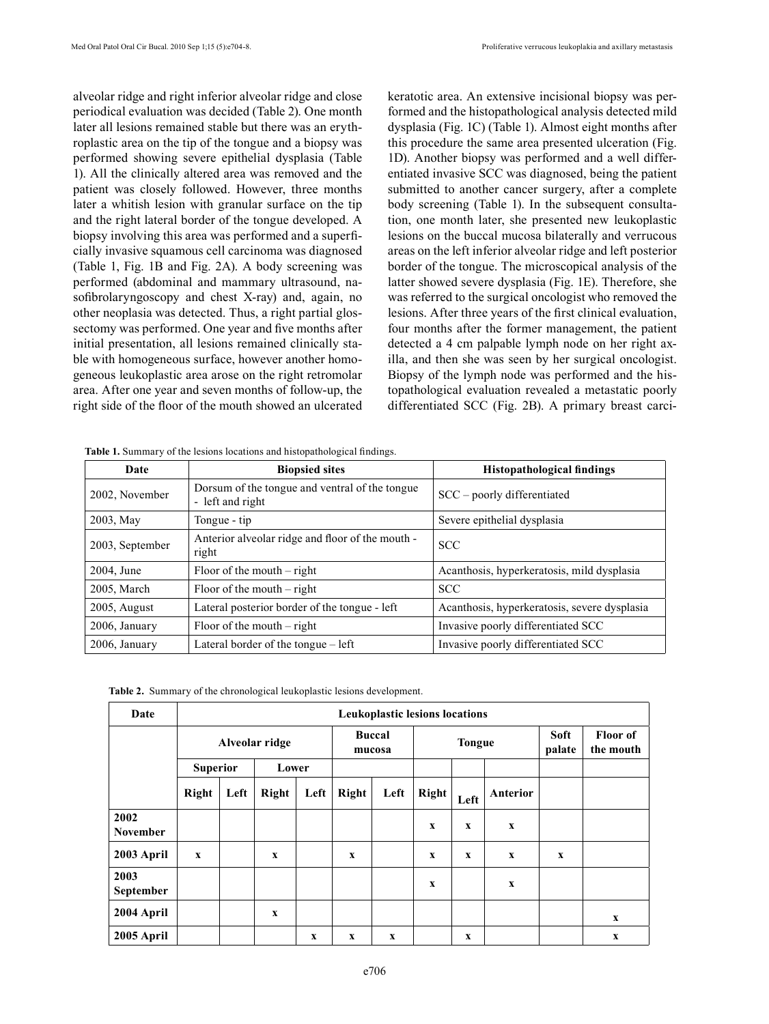alveolar ridge and right inferior alveolar ridge and close periodical evaluation was decided (Table 2). One month later all lesions remained stable but there was an erythroplastic area on the tip of the tongue and a biopsy was performed showing severe epithelial dysplasia (Table 1). All the clinically altered area was removed and the patient was closely followed. However, three months later a whitish lesion with granular surface on the tip and the right lateral border of the tongue developed. A biopsy involving this area was performed and a superficially invasive squamous cell carcinoma was diagnosed (Table 1, Fig. 1B and Fig. 2A). A body screening was performed (abdominal and mammary ultrasound, nasofibrolaryngoscopy and chest X-ray) and, again, no other neoplasia was detected. Thus, a right partial glossectomy was performed. One year and five months after initial presentation, all lesions remained clinically stable with homogeneous surface, however another homogeneous leukoplastic area arose on the right retromolar area. After one year and seven months of follow-up, the right side of the floor of the mouth showed an ulcerated

keratotic area. An extensive incisional biopsy was performed and the histopathological analysis detected mild dysplasia (Fig. 1C) (Table 1). Almost eight months after this procedure the same area presented ulceration (Fig. 1D). Another biopsy was performed and a well differentiated invasive SCC was diagnosed, being the patient submitted to another cancer surgery, after a complete body screening (Table 1). In the subsequent consultation, one month later, she presented new leukoplastic lesions on the buccal mucosa bilaterally and verrucous areas on the left inferior alveolar ridge and left posterior border of the tongue. The microscopical analysis of the latter showed severe dysplasia (Fig. 1E). Therefore, she was referred to the surgical oncologist who removed the lesions. After three years of the first clinical evaluation, four months after the former management, the patient detected a 4 cm palpable lymph node on her right axilla, and then she was seen by her surgical oncologist. Biopsy of the lymph node was performed and the histopathological evaluation revealed a metastatic poorly differentiated SCC (Fig. 2B). A primary breast carci-

**Table 1.** Summary of the lesions locations and histopathological findings.

| Date            | <b>Biopsied sites</b>                                              | <b>Histopathological findings</b>            |
|-----------------|--------------------------------------------------------------------|----------------------------------------------|
| 2002, November  | Dorsum of the tongue and ventral of the tongue<br>- left and right | $SCC$ – poorly differentiated                |
| 2003, May       | Tongue - tip                                                       | Severe epithelial dysplasia                  |
| 2003, September | Anterior alveolar ridge and floor of the mouth -<br>right          | <b>SCC</b>                                   |
| 2004, June      | Floor of the mouth $-$ right                                       | Acanthosis, hyperkeratosis, mild dysplasia   |
| 2005, March     | Floor of the mouth $-$ right                                       | <b>SCC</b>                                   |
| $2005$ , August | Lateral posterior border of the tongue - left                      | Acanthosis, hyperkeratosis, severe dysplasia |
| 2006, January   | Floor of the mouth $-$ right                                       | Invasive poorly differentiated SCC           |
| 2006, January   | Lateral border of the tongue – left                                | Invasive poorly differentiated SCC           |

|  | Table 2. Summary of the chronological leukoplastic lesions development. |  |  |
|--|-------------------------------------------------------------------------|--|--|
|  |                                                                         |  |  |

| Date                    | <b>Leukoplastic lesions locations</b> |                 |             |             |                         |      |              |               |             |                       |                              |
|-------------------------|---------------------------------------|-----------------|-------------|-------------|-------------------------|------|--------------|---------------|-------------|-----------------------|------------------------------|
|                         | Alveolar ridge                        |                 |             |             | <b>Buccal</b><br>mucosa |      |              | <b>Tongue</b> |             | <b>Soft</b><br>palate | <b>Floor</b> of<br>the mouth |
|                         |                                       | <b>Superior</b> |             | Lower       |                         |      |              |               |             |                       |                              |
|                         | Right                                 | Left            | Right       | Left        | Right                   | Left | <b>Right</b> | Left          | Anterior    |                       |                              |
| 2002<br><b>November</b> |                                       |                 |             |             |                         |      | X            | X             | X           |                       |                              |
| 2003 April              | $\mathbf x$                           |                 | $\mathbf x$ |             | X                       |      | X            | X             | $\mathbf x$ | X                     |                              |
| 2003<br>September       |                                       |                 |             |             |                         |      | X            |               | X           |                       |                              |
| 2004 April              |                                       |                 | X           |             |                         |      |              |               |             |                       | $\mathbf x$                  |
| 2005 April              |                                       |                 |             | $\mathbf X$ | X                       | X    |              | X             |             |                       | $\mathbf x$                  |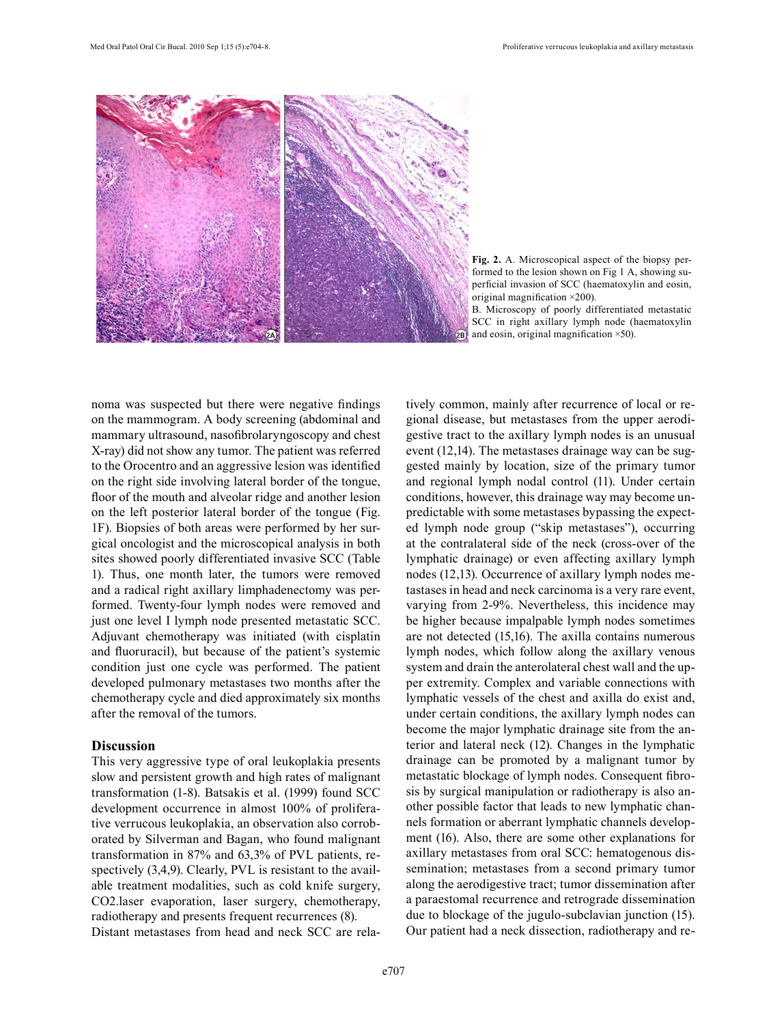

**Fig. 2.** A. Microscopical aspect of the biopsy performed to the lesion shown on Fig 1 A, showing superficial invasion of SCC (haematoxylin and eosin, original magnification ×200).

B. Microscopy of poorly differentiated metastatic SCC in right axillary lymph node (haematoxylin and eosin, original magnification ×50).

noma was suspected but there were negative findings on the mammogram. A body screening (abdominal and mammary ultrasound, nasofibrolaryngoscopy and chest X-ray) did not show any tumor. The patient was referred to the Orocentro and an aggressive lesion was identified on the right side involving lateral border of the tongue, floor of the mouth and alveolar ridge and another lesion on the left posterior lateral border of the tongue (Fig. 1F). Biopsies of both areas were performed by her surgical oncologist and the microscopical analysis in both sites showed poorly differentiated invasive SCC (Table 1). Thus, one month later, the tumors were removed and a radical right axillary limphadenectomy was performed. Twenty-four lymph nodes were removed and just one level I lymph node presented metastatic SCC. Adjuvant chemotherapy was initiated (with cisplatin and fluoruracil), but because of the patient's systemic condition just one cycle was performed. The patient developed pulmonary metastases two months after the chemotherapy cycle and died approximately six months after the removal of the tumors.

## **Discussion**

This very aggressive type of oral leukoplakia presents slow and persistent growth and high rates of malignant transformation (1-8). Batsakis et al. (1999) found SCC development occurrence in almost 100% of proliferative verrucous leukoplakia, an observation also corroborated by Silverman and Bagan, who found malignant transformation in 87% and 63,3% of PVL patients, respectively  $(3,4,9)$ . Clearly, PVL is resistant to the available treatment modalities, such as cold knife surgery, CO2.laser evaporation, laser surgery, chemotherapy, radiotherapy and presents frequent recurrences (8). Distant metastases from head and neck SCC are relatively common, mainly after recurrence of local or regional disease, but metastases from the upper aerodigestive tract to the axillary lymph nodes is an unusual event (12,14). The metastases drainage way can be suggested mainly by location, size of the primary tumor and regional lymph nodal control (11). Under certain conditions, however, this drainage way may become unpredictable with some metastases bypassing the expected lymph node group ("skip metastases"), occurring at the contralateral side of the neck (cross-over of the lymphatic drainage) or even affecting axillary lymph nodes (12,13). Occurrence of axillary lymph nodes metastases in head and neck carcinoma is a very rare event, varying from 2-9%. Nevertheless, this incidence may be higher because impalpable lymph nodes sometimes are not detected (15,16). The axilla contains numerous lymph nodes, which follow along the axillary venous system and drain the anterolateral chest wall and the upper extremity. Complex and variable connections with lymphatic vessels of the chest and axilla do exist and, under certain conditions, the axillary lymph nodes can become the major lymphatic drainage site from the anterior and lateral neck (12). Changes in the lymphatic drainage can be promoted by a malignant tumor by metastatic blockage of lymph nodes. Consequent fibrosis by surgical manipulation or radiotherapy is also another possible factor that leads to new lymphatic channels formation or aberrant lymphatic channels development (16). Also, there are some other explanations for axillary metastases from oral SCC: hematogenous dissemination; metastases from a second primary tumor along the aerodigestive tract; tumor dissemination after a paraestomal recurrence and retrograde dissemination due to blockage of the jugulo-subclavian junction (15). Our patient had a neck dissection, radiotherapy and re